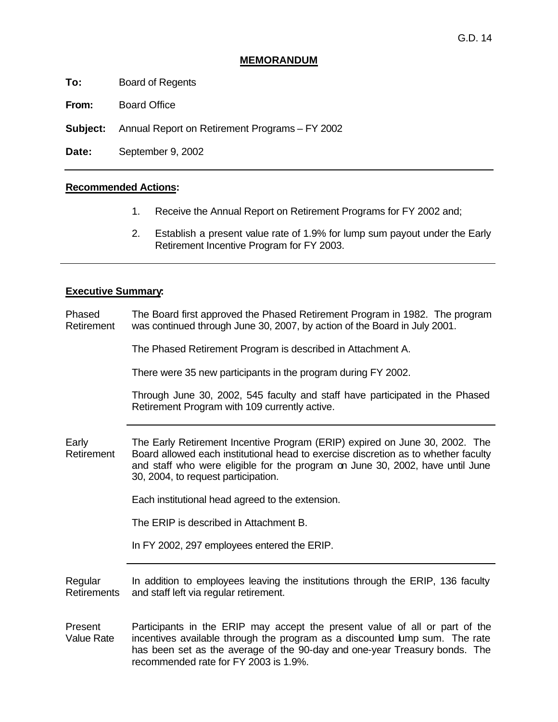# **MEMORANDUM**

**To:** Board of Regents

**From:** Board Office

**Subject:** Annual Report on Retirement Programs – FY 2002

**Date:** September 9, 2002

#### **Recommended Actions:**

- 1. Receive the Annual Report on Retirement Programs for FY 2002 and;
- 2. Establish a present value rate of 1.9% for lump sum payout under the Early Retirement Incentive Program for FY 2003.

## **Executive Summary:**

Phased Retirement The Board first approved the Phased Retirement Program in 1982. The program was continued through June 30, 2007, by action of the Board in July 2001.

The Phased Retirement Program is described in Attachment A.

There were 35 new participants in the program during FY 2002.

Through June 30, 2002, 545 faculty and staff have participated in the Phased Retirement Program with 109 currently active.

Early Retirement The Early Retirement Incentive Program (ERIP) expired on June 30, 2002. The Board allowed each institutional head to exercise discretion as to whether faculty and staff who were eligible for the program on June 30, 2002, have until June 30, 2004, to request participation.

Each institutional head agreed to the extension.

The ERIP is described in Attachment B.

In FY 2002, 297 employees entered the ERIP.

Regular **Retirements** In addition to employees leaving the institutions through the ERIP, 136 faculty and staff left via regular retirement.

Present Value Rate Participants in the ERIP may accept the present value of all or part of the incentives available through the program as a discounted lump sum. The rate has been set as the average of the 90-day and one-year Treasury bonds. The recommended rate for FY 2003 is 1.9%.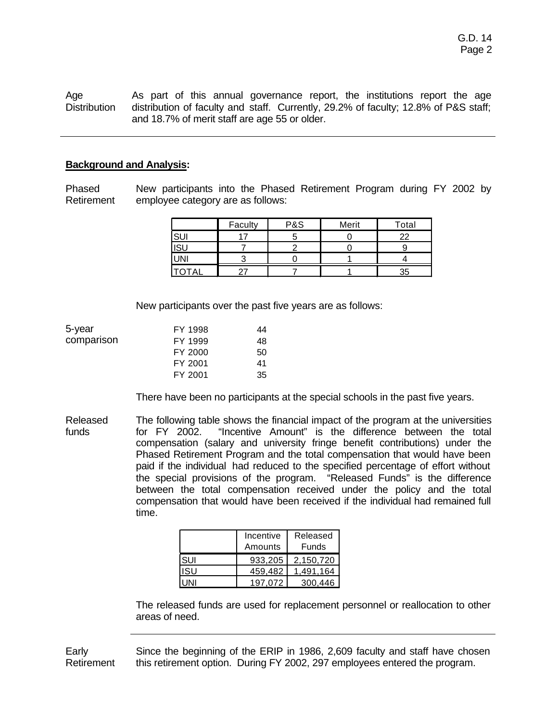Age **Distribution** As part of this annual governance report, the institutions report the age distribution of faculty and staff. Currently, 29.2% of faculty; 12.8% of P&S staff; and 18.7% of merit staff are age 55 or older.

### **Background and Analysis:**

Phased Retirement New participants into the Phased Retirement Program during FY 2002 by employee category are as follows:

|            | Faculty | <b>P&amp;S</b> | Merit | Total |
|------------|---------|----------------|-------|-------|
| <b>SUI</b> |         |                |       | າາ    |
| <b>ISU</b> |         |                |       |       |
| <b>UNI</b> |         |                |       |       |
|            |         |                |       | 35    |

New participants over the past five years are as follows:

| 5-year     | FY 1998 | 44 |
|------------|---------|----|
| comparison | FY 1999 | 48 |
|            | FY 2000 | 50 |
|            | FY 2001 | 41 |
|            | FY 2001 | 35 |

There have been no participants at the special schools in the past five years.

Released funds The following table shows the financial impact of the program at the universities for FY 2002. "Incentive Amount" is the difference between the total compensation (salary and university fringe benefit contributions) under the Phased Retirement Program and the total compensation that would have been paid if the individual had reduced to the specified percentage of effort without the special provisions of the program. "Released Funds" is the difference between the total compensation received under the policy and the total compensation that would have been received if the individual had remained full time.

|     | Incentive<br>Amounts | Released<br>Funds |
|-----|----------------------|-------------------|
| SUI | 933.205              | 2.150.720         |
| ISU | 459.482              | 1.491.164         |
|     | 197.072              | 300.446           |

The released funds are used for replacement personnel or reallocation to other areas of need.

Early Retirement Since the beginning of the ERIP in 1986, 2,609 faculty and staff have chosen this retirement option. During FY 2002, 297 employees entered the program.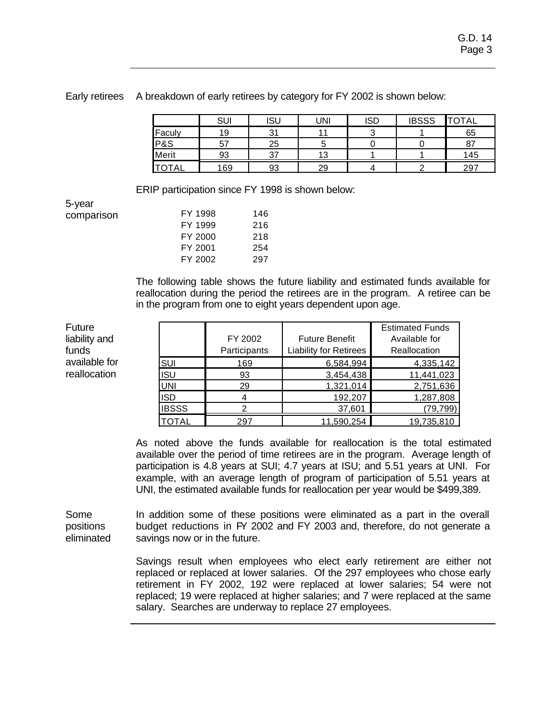|                | SUI      | <b>ISU</b> | UNI | <b>ISD</b> | <b>IBSSS</b> | <b>TOTAL</b>  |
|----------------|----------|------------|-----|------------|--------------|---------------|
| Faculy         | 19       | 21         | 44  |            |              | 65            |
| <b>P&amp;S</b> | 57<br>ັບ | 25         | ັ   |            |              | $\circ$<br>O1 |
| Merit          | 93       | ົ          | 13  |            |              | 145           |
| <b>OTAL</b>    | 169      | 93         | 29  |            |              | 297           |

Early retirees A breakdown of early retirees by category for FY 2002 is shown below:

ERIP participation since FY 1998 is shown below:

5-year comparis

Future

funds

| son | FY 1998 | 146 |
|-----|---------|-----|
|     | FY 1999 | 216 |
|     | FY 2000 | 218 |
|     | FY 2001 | 254 |
|     | FY 2002 | 297 |
|     |         |     |

The following table shows the future liability and estimated funds available for reallocation during the period the retirees are in the program. A retiree can be in the program from one to eight years dependent upon age.

liability and available for reallocation FY 2002 **Participants** Future Benefit Liability for Retirees Estimated Funds Available for Reallocation SUI 169 6,584,994 4,335,142 ISU 93 3,454,438 11,441,023 UNI 29 1,321,014 2,751,636 ISD 4 192,207 1,287,808 IBSSS 2 37,601 (79,799) TOTAL 297 11,590,254 19,735,810

> As noted above the funds available for reallocation is the total estimated available over the period of time retirees are in the program. Average length of participation is 4.8 years at SUI; 4.7 years at ISU; and 5.51 years at UNI. For example, with an average length of program of participation of 5.51 years at UNI, the estimated available funds for reallocation per year would be \$499,389.

Some positions eliminated In addition some of these positions were eliminated as a part in the overall budget reductions in FY 2002 and FY 2003 and, therefore, do not generate a savings now or in the future.

> Savings result when employees who elect early retirement are either not replaced or replaced at lower salaries. Of the 297 employees who chose early retirement in FY 2002, 192 were replaced at lower salaries; 54 were not replaced; 19 were replaced at higher salaries; and 7 were replaced at the same salary. Searches are underway to replace 27 employees.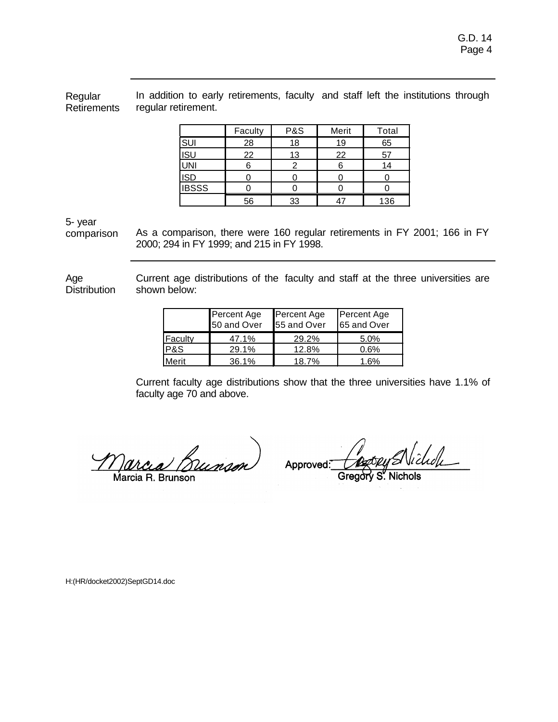Regular Retirements In addition to early retirements, faculty and staff left the institutions through regular retirement.

|              | Faculty | P&S | Merit | Total |
|--------------|---------|-----|-------|-------|
| SUI          | 28      | 18  | 19    | 65    |
| <b>ISU</b>   | 22      | 13  | 22    | 57    |
| <u>UNI</u>   |         |     |       | 14    |
| <b>ISD</b>   |         |     |       |       |
| <b>IBSSS</b> |         |     |       |       |
|              | 56      | 33  |       | 136   |

5- year

comparison As a comparison, there were 160 regular retirements in FY 2001; 166 in FY 2000; 294 in FY 1999; and 215 in FY 1998.

Age **Distribution** Current age distributions of the faculty and staff at the three universities are shown below:

|         | Percent Age<br>50 and Over | Percent Age<br>55 and Over | Percent Age<br>65 and Over |
|---------|----------------------------|----------------------------|----------------------------|
| Faculty | 47.1%                      | 29.2%                      | 5.0%                       |
| P&S     | 29.1%                      | 12.8%                      | 0.6%                       |
| Merit   | 36.1%                      | 18.7%                      | 1.6%                       |

Current faculty age distributions show that the three universities have 1.1% of faculty age 70 and above.

arcea Bunson Marcia R. Brunson

lichde Approved:

Gregory S. Nichols

H:(HR/docket2002)SeptGD14.doc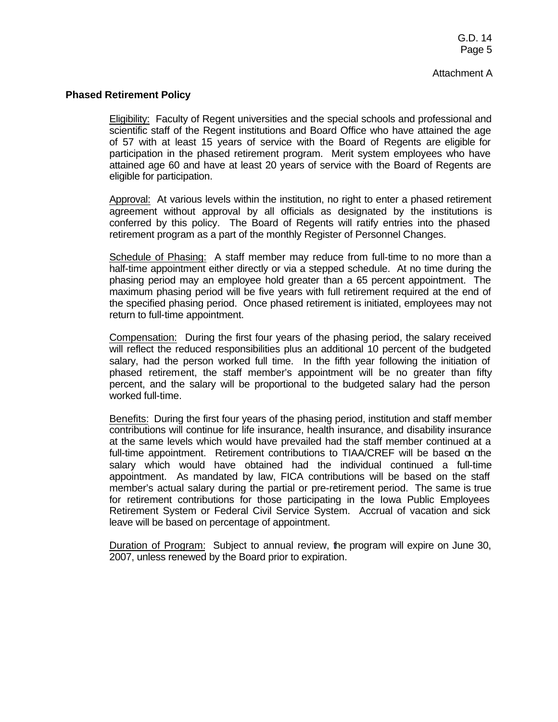### **Phased Retirement Policy**

Eligibility: Faculty of Regent universities and the special schools and professional and scientific staff of the Regent institutions and Board Office who have attained the age of 57 with at least 15 years of service with the Board of Regents are eligible for participation in the phased retirement program. Merit system employees who have attained age 60 and have at least 20 years of service with the Board of Regents are eligible for participation.

Approval: At various levels within the institution, no right to enter a phased retirement agreement without approval by all officials as designated by the institutions is conferred by this policy. The Board of Regents will ratify entries into the phased retirement program as a part of the monthly Register of Personnel Changes.

Schedule of Phasing: A staff member may reduce from full-time to no more than a half-time appointment either directly or via a stepped schedule. At no time during the phasing period may an employee hold greater than a 65 percent appointment. The maximum phasing period will be five years with full retirement required at the end of the specified phasing period. Once phased retirement is initiated, employees may not return to full-time appointment.

Compensation: During the first four years of the phasing period, the salary received will reflect the reduced responsibilities plus an additional 10 percent of the budgeted salary, had the person worked full time. In the fifth year following the initiation of phased retirement, the staff member's appointment will be no greater than fifty percent, and the salary will be proportional to the budgeted salary had the person worked full-time.

Benefits: During the first four years of the phasing period, institution and staff member contributions will continue for life insurance, health insurance, and disability insurance at the same levels which would have prevailed had the staff member continued at a full-time appointment. Retirement contributions to TIAA/CREF will be based on the salary which would have obtained had the individual continued a full-time appointment. As mandated by law, FICA contributions will be based on the staff member's actual salary during the partial or pre-retirement period. The same is true for retirement contributions for those participating in the Iowa Public Employees Retirement System or Federal Civil Service System. Accrual of vacation and sick leave will be based on percentage of appointment.

Duration of Program: Subject to annual review, the program will expire on June 30, 2007, unless renewed by the Board prior to expiration.